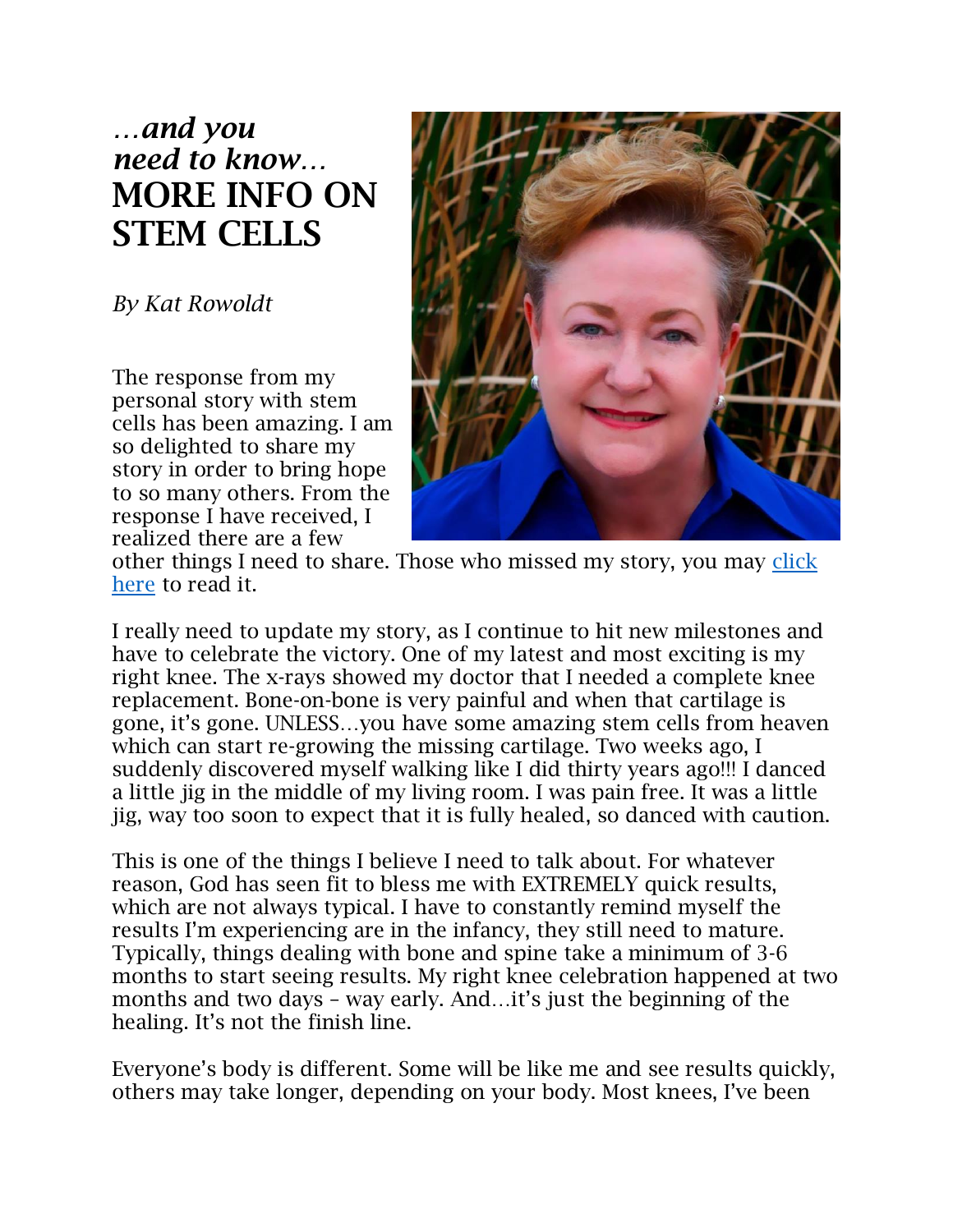# *…and you need to know…* MORE INFO ON STEM CELLS

*By Kat Rowoldt*

The response from my personal story with stem cells has been amazing. I am so delighted to share my story in order to bring hope to so many others. From the response I have received, I realized there are a few



other things I need to share. Those who missed my story, you may click [here](https://docs.wixstatic.com/ugd/5a9411_35c41a99a945406d9600378960703d4f.pdf) to read it.

I really need to update my story, as I continue to hit new milestones and have to celebrate the victory. One of my latest and most exciting is my right knee. The x-rays showed my doctor that I needed a complete knee replacement. Bone-on-bone is very painful and when that cartilage is gone, it's gone. UNLESS…you have some amazing stem cells from heaven which can start re-growing the missing cartilage. Two weeks ago, I suddenly discovered myself walking like I did thirty years ago!!! I danced a little jig in the middle of my living room. I was pain free. It was a little jig, way too soon to expect that it is fully healed, so danced with caution.

This is one of the things I believe I need to talk about. For whatever reason, God has seen fit to bless me with EXTREMELY quick results, which are not always typical. I have to constantly remind myself the results I'm experiencing are in the infancy, they still need to mature. Typically, things dealing with bone and spine take a minimum of 3-6 months to start seeing results. My right knee celebration happened at two months and two days – way early. And…it's just the beginning of the healing. It's not the finish line.

Everyone's body is different. Some will be like me and see results quickly, others may take longer, depending on your body. Most knees, I've been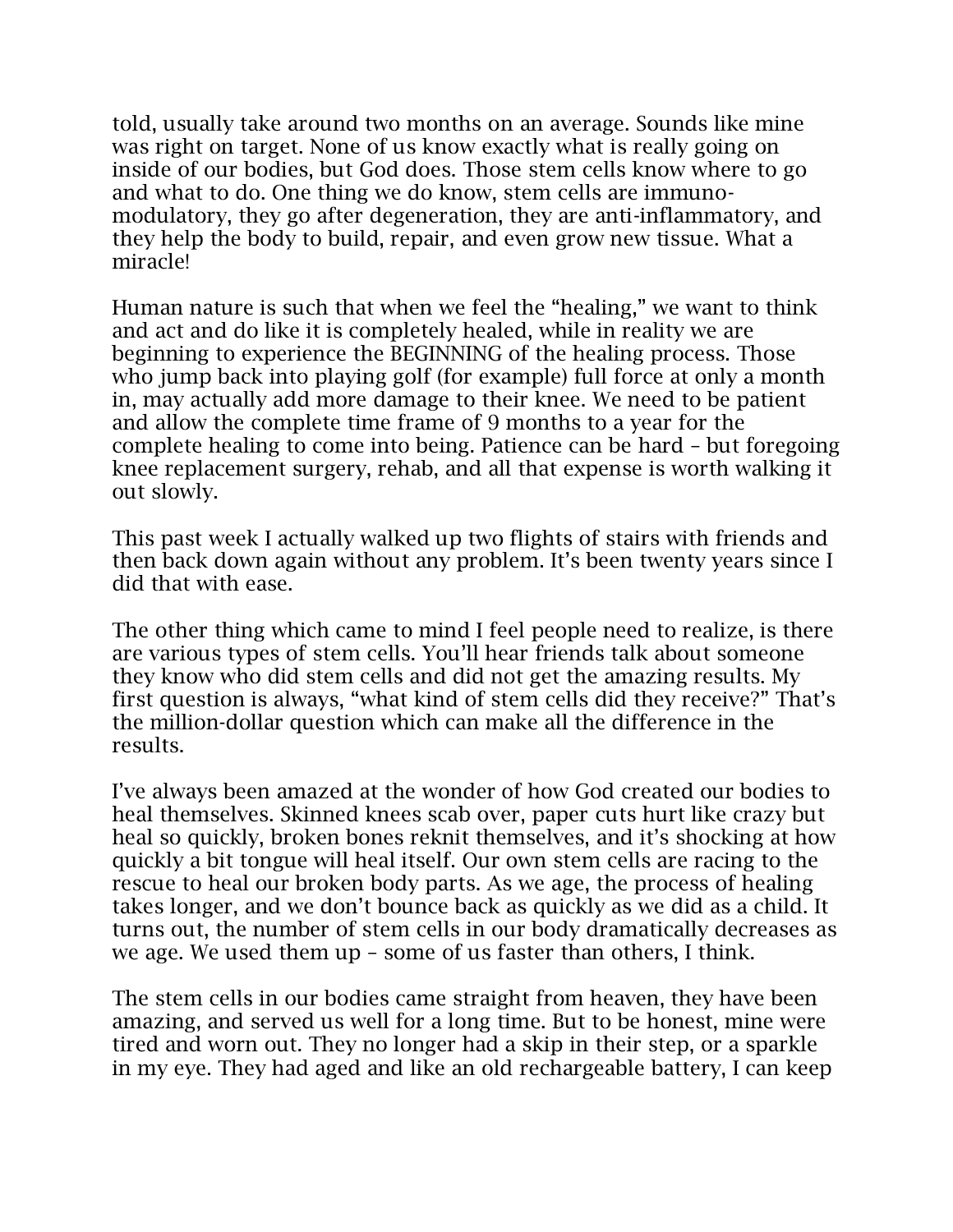told, usually take around two months on an average. Sounds like mine was right on target. None of us know exactly what is really going on inside of our bodies, but God does. Those stem cells know where to go and what to do. One thing we do know, stem cells are immunomodulatory, they go after degeneration, they are anti-inflammatory, and they help the body to build, repair, and even grow new tissue. What a miracle!

Human nature is such that when we feel the "healing," we want to think and act and do like it is completely healed, while in reality we are beginning to experience the BEGINNING of the healing process. Those who jump back into playing golf (for example) full force at only a month in, may actually add more damage to their knee. We need to be patient and allow the complete time frame of 9 months to a year for the complete healing to come into being. Patience can be hard – but foregoing knee replacement surgery, rehab, and all that expense is worth walking it out slowly.

This past week I actually walked up two flights of stairs with friends and then back down again without any problem. It's been twenty years since I did that with ease.

The other thing which came to mind I feel people need to realize, is there are various types of stem cells. You'll hear friends talk about someone they know who did stem cells and did not get the amazing results. My first question is always, "what kind of stem cells did they receive?" That's the million-dollar question which can make all the difference in the results.

I've always been amazed at the wonder of how God created our bodies to heal themselves. Skinned knees scab over, paper cuts hurt like crazy but heal so quickly, broken bones reknit themselves, and it's shocking at how quickly a bit tongue will heal itself. Our own stem cells are racing to the rescue to heal our broken body parts. As we age, the process of healing takes longer, and we don't bounce back as quickly as we did as a child. It turns out, the number of stem cells in our body dramatically decreases as we age. We used them up – some of us faster than others, I think.

The stem cells in our bodies came straight from heaven, they have been amazing, and served us well for a long time. But to be honest, mine were tired and worn out. They no longer had a skip in their step, or a sparkle in my eye. They had aged and like an old rechargeable battery, I can keep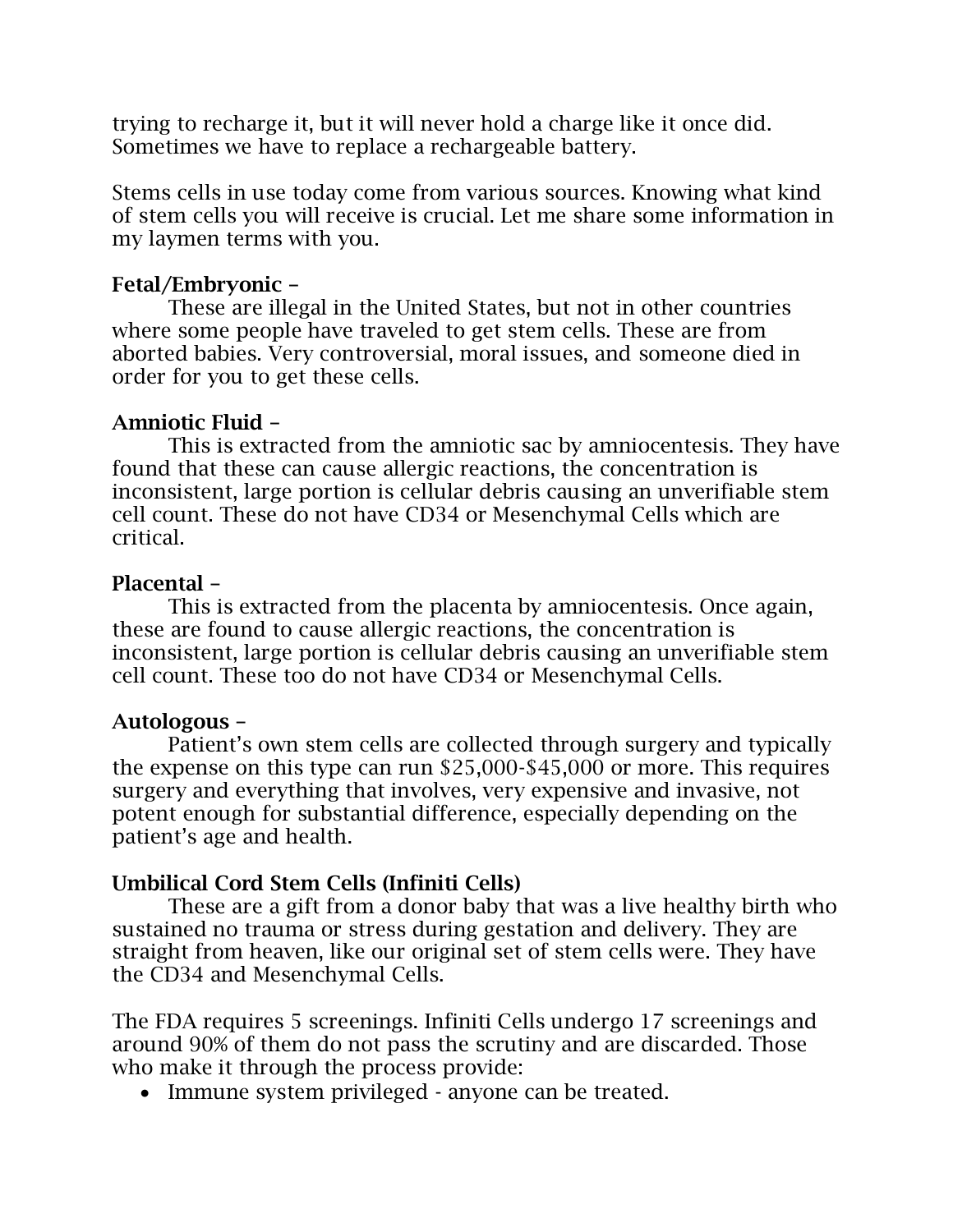trying to recharge it, but it will never hold a charge like it once did. Sometimes we have to replace a rechargeable battery.

Stems cells in use today come from various sources. Knowing what kind of stem cells you will receive is crucial. Let me share some information in my laymen terms with you.

## Fetal/Embryonic –

These are illegal in the United States, but not in other countries where some people have traveled to get stem cells. These are from aborted babies. Very controversial, moral issues, and someone died in order for you to get these cells.

## Amniotic Fluid –

This is extracted from the amniotic sac by amniocentesis. They have found that these can cause allergic reactions, the concentration is inconsistent, large portion is cellular debris causing an unverifiable stem cell count. These do not have CD34 or Mesenchymal Cells which are critical.

#### Placental –

This is extracted from the placenta by amniocentesis. Once again, these are found to cause allergic reactions, the concentration is inconsistent, large portion is cellular debris causing an unverifiable stem cell count. These too do not have CD34 or Mesenchymal Cells.

#### Autologous –

Patient's own stem cells are collected through surgery and typically the expense on this type can run \$25,000-\$45,000 or more. This requires surgery and everything that involves, very expensive and invasive, not potent enough for substantial difference, especially depending on the patient's age and health.

# Umbilical Cord Stem Cells (Infiniti Cells)

These are a gift from a donor baby that was a live healthy birth who sustained no trauma or stress during gestation and delivery. They are straight from heaven, like our original set of stem cells were. They have the CD34 and Mesenchymal Cells.

The FDA requires 5 screenings. Infiniti Cells undergo 17 screenings and around 90% of them do not pass the scrutiny and are discarded. Those who make it through the process provide:

• Immune system privileged - anyone can be treated.